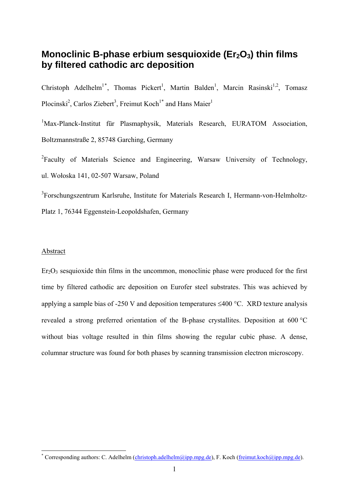# **Monoclinic B-phase erbium sesquioxide (Er<sub>2</sub>O<sub>3</sub>) thin films by filtered cathodic arc deposition**

Christoph Adelhelm<sup>1[\\*](#page-0-0)</sup>, Thomas Pickert<sup>1</sup>, Martin Balden<sup>1</sup>, Marcin Rasinski<sup>1,2</sup>, Tomasz Plocinski<sup>2</sup>, Carlos Ziebert<sup>3</sup>, Freimut Koch<sup>1\*</sup> and Hans Maier<sup>1</sup>

<sup>1</sup>Max-Planck-Institut für Plasmaphysik, Materials Research, EURATOM Association, Boltzmannstraße 2, 85748 Garching, Germany

<sup>2</sup>Faculty of Materials Science and Engineering, Warsaw University of Technology, ul. Wołoska 141, 02-507 Warsaw, Poland

<sup>3</sup>Forschungszentrum Karlsruhe, Institute for Materials Research I, Hermann-von-Helmholtz-Platz 1, 76344 Eggenstein-Leopoldshafen, Germany

#### Abstract

 $Er<sub>2</sub>O<sub>3</sub>$  sesquioxide thin films in the uncommon, monoclinic phase were produced for the first time by filtered cathodic arc deposition on Eurofer steel substrates. This was achieved by applying a sample bias of -250 V and deposition temperatures  $\leq 400$  °C. XRD texture analysis revealed a strong preferred orientation of the B-phase crystallites. Deposition at 600 °C without bias voltage resulted in thin films showing the regular cubic phase. A dense, columnar structure was found for both phases by scanning transmission electron microscopy.

<span id="page-0-0"></span><sup>-&</sup>lt;br>\* Corresponding authors: C. Adelhelm (*christoph.adelhelm@ipp.mpg.de*), F. Koch (*freimut.koch@ipp.mpg.de*).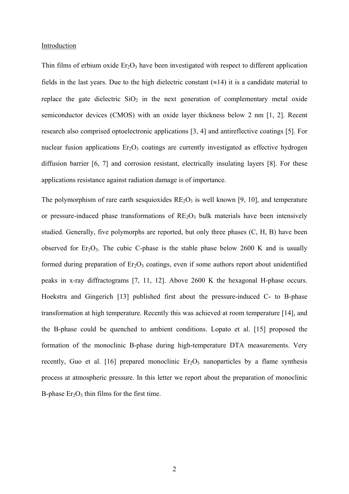#### Introduction

Thin films of erbium oxide  $Er_2O_3$  have been investigated with respect to different application fields in the last years. Due to the high dielectric constant  $(\approx 14)$  it is a candidate material to replace the gate dielectric  $SiO<sub>2</sub>$  in the next generation of complementary metal oxide semiconductor devices (CMOS) with an oxide layer thickness below 2 nm [1, 2]. Recent research also comprised optoelectronic applications [3, 4] and antireflective coatings [5]. For nuclear fusion applications  $Er<sub>2</sub>O<sub>3</sub>$  coatings are currently investigated as effective hydrogen diffusion barrier [6, 7] and corrosion resistant, electrically insulating layers [8]. For these applications resistance against radiation damage is of importance.

The polymorphism of rare earth sesquioxides  $RE_2O_3$  is well known [9, 10], and temperature or pressure-induced phase transformations of  $RE_2O_3$  bulk materials have been intensively studied. Generally, five polymorphs are reported, but only three phases (C, H, B) have been observed for  $Er_2O_3$ . The cubic C-phase is the stable phase below 2600 K and is usually formed during preparation of  $Er_2O_3$  coatings, even if some authors report about unidentified peaks in x-ray diffractograms [7, 11, 12]. Above 2600 K the hexagonal H-phase occurs. Hoekstra and Gingerich [13] published first about the pressure-induced C- to B-phase transformation at high temperature. Recently this was achieved at room temperature [14], and the B-phase could be quenched to ambient conditions. Lopato et al. [15] proposed the formation of the monoclinic B-phase during high-temperature DTA measurements. Very recently, Guo et al. [16] prepared monoclinic  $Er<sub>2</sub>O<sub>3</sub>$  nanoparticles by a flame synthesis process at atmospheric pressure. In this letter we report about the preparation of monoclinic B-phase  $Er<sub>2</sub>O<sub>3</sub>$  thin films for the first time.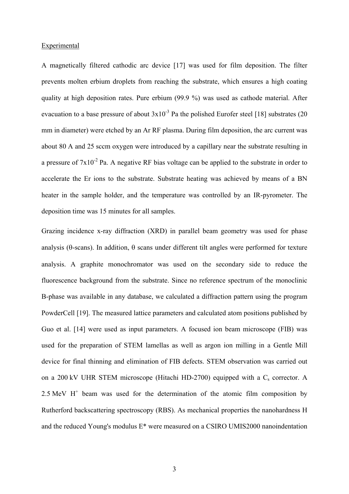#### Experimental

A magnetically filtered cathodic arc device [17] was used for film deposition. The filter prevents molten erbium droplets from reaching the substrate, which ensures a high coating quality at high deposition rates. Pure erbium (99.9 %) was used as cathode material. After evacuation to a base pressure of about  $3x10^{-3}$  Pa the polished Eurofer steel [18] substrates (20 mm in diameter) were etched by an Ar RF plasma. During film deposition, the arc current was about 80 A and 25 sccm oxygen were introduced by a capillary near the substrate resulting in a pressure of  $7x10^{-2}$  Pa. A negative RF bias voltage can be applied to the substrate in order to accelerate the Er ions to the substrate. Substrate heating was achieved by means of a BN heater in the sample holder, and the temperature was controlled by an IR-pyrometer. The deposition time was 15 minutes for all samples.

Grazing incidence x-ray diffraction (XRD) in parallel beam geometry was used for phase analysis (θ-scans). In addition, θ scans under different tilt angles were performed for texture analysis. A graphite monochromator was used on the secondary side to reduce the fluorescence background from the substrate. Since no reference spectrum of the monoclinic B-phase was available in any database, we calculated a diffraction pattern using the program PowderCell [19]. The measured lattice parameters and calculated atom positions published by Guo et al. [14] were used as input parameters. A focused ion beam microscope (FIB) was used for the preparation of STEM lamellas as well as argon ion milling in a Gentle Mill device for final thinning and elimination of FIB defects. STEM observation was carried out on a 200 kV UHR STEM microscope (Hitachi HD-2700) equipped with a  $C_s$  corrector. A 2.5 MeV  $H^+$  beam was used for the determination of the atomic film composition by Rutherford backscattering spectroscopy (RBS). As mechanical properties the nanohardness H and the reduced Young's modulus E\* were measured on a CSIRO UMIS2000 nanoindentation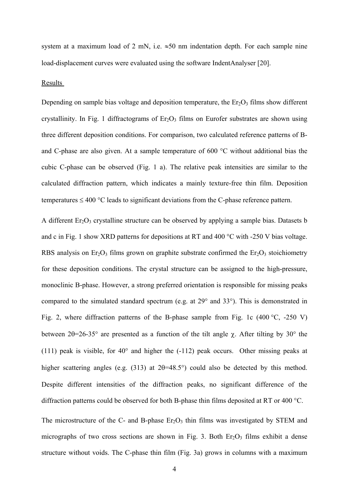system at a maximum load of 2 mN, i.e.  $\approx 50$  nm indentation depth. For each sample nine load-displacement curves were evaluated using the software IndentAnalyser [20].

#### Results

Depending on sample bias voltage and deposition temperature, the  $Er<sub>2</sub>O<sub>3</sub>$  films show different crystallinity. In Fig. 1 diffractograms of  $Er_2O_3$  films on Eurofer substrates are shown using three different deposition conditions. For comparison, two calculated reference patterns of Band C-phase are also given. At a sample temperature of 600 °C without additional bias the cubic C-phase can be observed (Fig. 1 a). The relative peak intensities are similar to the calculated diffraction pattern, which indicates a mainly texture-free thin film. Deposition temperatures  $\leq 400$  °C leads to significant deviations from the C-phase reference pattern.

A different  $Er_2O_3$  crystalline structure can be observed by applying a sample bias. Datasets b and c in Fig. 1 show XRD patterns for depositions at RT and 400 °C with -250 V bias voltage. RBS analysis on  $Er_2O_3$  films grown on graphite substrate confirmed the  $Er_2O_3$  stoichiometry for these deposition conditions. The crystal structure can be assigned to the high-pressure, monoclinic B-phase. However, a strong preferred orientation is responsible for missing peaks compared to the simulated standard spectrum (e.g. at 29° and 33°). This is demonstrated in Fig. 2, where diffraction patterns of the B-phase sample from Fig. 1c (400 °C, -250 V) between 2θ=26-35° are presented as a function of the tilt angle  $\chi$ . After tilting by 30° the (111) peak is visible, for 40° and higher the (-112) peak occurs. Other missing peaks at higher scattering angles (e.g. (313) at 2θ=48.5°) could also be detected by this method. Despite different intensities of the diffraction peaks, no significant difference of the diffraction patterns could be observed for both B-phase thin films deposited at RT or 400 °C.

The microstructure of the C- and B-phase  $Er_2O_3$  thin films was investigated by STEM and micrographs of two cross sections are shown in Fig. 3. Both  $Er_2O_3$  films exhibit a dense structure without voids. The C-phase thin film (Fig. 3a) grows in columns with a maximum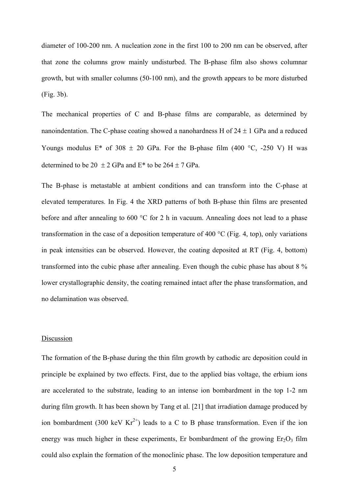diameter of 100-200 nm. A nucleation zone in the first 100 to 200 nm can be observed, after that zone the columns grow mainly undisturbed. The B-phase film also shows columnar growth, but with smaller columns (50-100 nm), and the growth appears to be more disturbed (Fig. 3b).

The mechanical properties of C and B-phase films are comparable, as determined by nanoindentation. The C-phase coating showed a nanohardness H of  $24 \pm 1$  GPa and a reduced Youngs modulus  $E^*$  of 308  $\pm$  20 GPa. For the B-phase film (400 °C, -250 V) H was determined to be  $20 \pm 2$  GPa and E<sup>\*</sup> to be  $264 \pm 7$  GPa.

The B-phase is metastable at ambient conditions and can transform into the C-phase at elevated temperatures. In Fig. 4 the XRD patterns of both B-phase thin films are presented before and after annealing to 600 °C for 2 h in vacuum. Annealing does not lead to a phase transformation in the case of a deposition temperature of 400 °C (Fig. 4, top), only variations in peak intensities can be observed. However, the coating deposited at RT (Fig. 4, bottom) transformed into the cubic phase after annealing. Even though the cubic phase has about 8 % lower crystallographic density, the coating remained intact after the phase transformation, and no delamination was observed.

#### Discussion

The formation of the B-phase during the thin film growth by cathodic arc deposition could in principle be explained by two effects. First, due to the applied bias voltage, the erbium ions are accelerated to the substrate, leading to an intense ion bombardment in the top 1-2 nm during film growth. It has been shown by Tang et al. [21] that irradiation damage produced by ion bombardment (300 keV  $Kr^{2+}$ ) leads to a C to B phase transformation. Even if the ion energy was much higher in these experiments, Er bombardment of the growing  $Er_2O_3$  film could also explain the formation of the monoclinic phase. The low deposition temperature and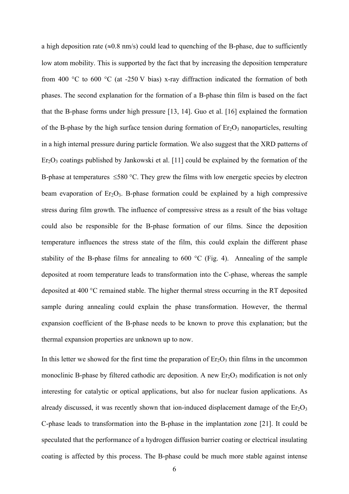a high deposition rate ( $\approx 0.8$  nm/s) could lead to quenching of the B-phase, due to sufficiently low atom mobility. This is supported by the fact that by increasing the deposition temperature from 400 °C to 600 °C (at -250 V bias) x-ray diffraction indicated the formation of both phases. The second explanation for the formation of a B-phase thin film is based on the fact that the B-phase forms under high pressure [13, 14]. Guo et al. [16] explained the formation of the B-phase by the high surface tension during formation of  $Er_2O_3$  nanoparticles, resulting in a high internal pressure during particle formation. We also suggest that the XRD patterns of  $Er<sub>2</sub>O<sub>3</sub>$  coatings published by Jankowski et al. [11] could be explained by the formation of the B-phase at temperatures ≤580 °C. They grew the films with low energetic species by electron beam evaporation of  $Er_2O_3$ . B-phase formation could be explained by a high compressive stress during film growth. The influence of compressive stress as a result of the bias voltage could also be responsible for the B-phase formation of our films. Since the deposition temperature influences the stress state of the film, this could explain the different phase stability of the B-phase films for annealing to  $600 \degree C$  (Fig. 4). Annealing of the sample deposited at room temperature leads to transformation into the C-phase, whereas the sample deposited at 400 °C remained stable. The higher thermal stress occurring in the RT deposited sample during annealing could explain the phase transformation. However, the thermal expansion coefficient of the B-phase needs to be known to prove this explanation; but the thermal expansion properties are unknown up to now.

In this letter we showed for the first time the preparation of  $Er_2O_3$  thin films in the uncommon monoclinic B-phase by filtered cathodic arc deposition. A new  $Er_2O_3$  modification is not only interesting for catalytic or optical applications, but also for nuclear fusion applications. As already discussed, it was recently shown that ion-induced displacement damage of the  $Er_2O_3$ C-phase leads to transformation into the B-phase in the implantation zone [21]. It could be speculated that the performance of a hydrogen diffusion barrier coating or electrical insulating coating is affected by this process. The B-phase could be much more stable against intense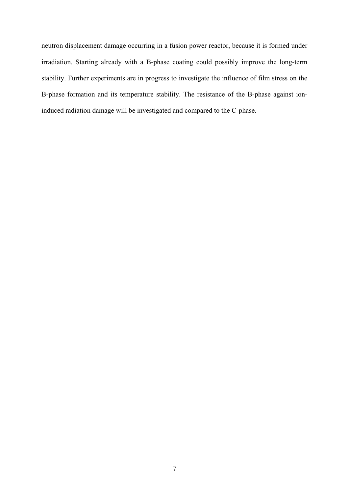neutron displacement damage occurring in a fusion power reactor, because it is formed under irradiation. Starting already with a B-phase coating could possibly improve the long-term stability. Further experiments are in progress to investigate the influence of film stress on the B-phase formation and its temperature stability. The resistance of the B-phase against ioninduced radiation damage will be investigated and compared to the C-phase.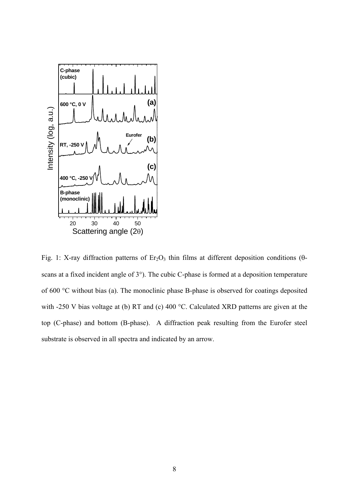

Fig. 1: X-ray diffraction patterns of  $Er<sub>2</sub>O<sub>3</sub>$  thin films at different deposition conditions ( $\theta$ scans at a fixed incident angle of 3°). The cubic C-phase is formed at a deposition temperature of 600 °C without bias (a). The monoclinic phase B-phase is observed for coatings deposited with -250 V bias voltage at (b) RT and (c) 400 °C. Calculated XRD patterns are given at the top (C-phase) and bottom (B-phase). A diffraction peak resulting from the Eurofer steel substrate is observed in all spectra and indicated by an arrow.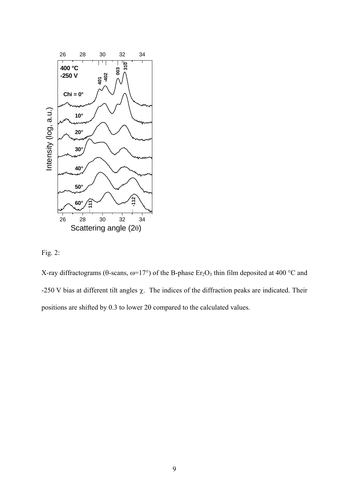



X-ray diffractograms (θ-scans,  $ω=17°$ ) of the B-phase Er<sub>2</sub>O<sub>3</sub> thin film deposited at 400 °C and -250 V bias at different tilt angles  $\chi$ . The indices of the diffraction peaks are indicated. Their positions are shifted by 0.3 to lower 2θ compared to the calculated values.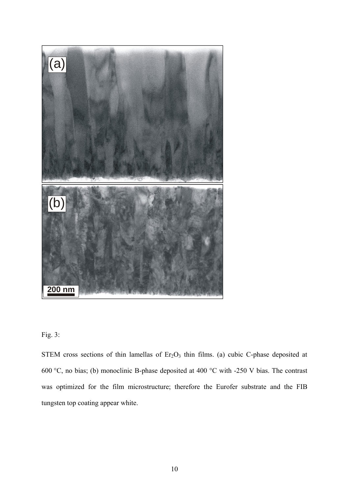

## Fig. 3:

STEM cross sections of thin lamellas of  $Er<sub>2</sub>O<sub>3</sub>$  thin films. (a) cubic C-phase deposited at 600 °C, no bias; (b) monoclinic B-phase deposited at 400 °C with -250 V bias. The contrast was optimized for the film microstructure; therefore the Eurofer substrate and the FIB tungsten top coating appear white.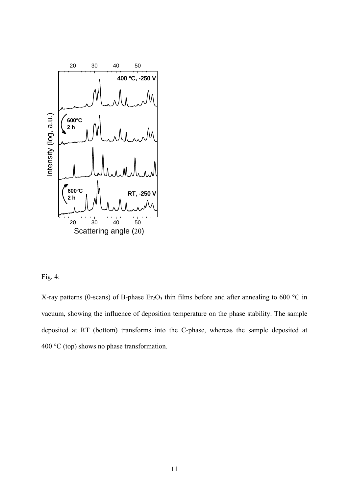

### Fig. 4:

X-ray patterns ( $\theta$ -scans) of B-phase Er<sub>2</sub>O<sub>3</sub> thin films before and after annealing to 600 °C in vacuum, showing the influence of deposition temperature on the phase stability. The sample deposited at RT (bottom) transforms into the C-phase, whereas the sample deposited at 400 °C (top) shows no phase transformation.